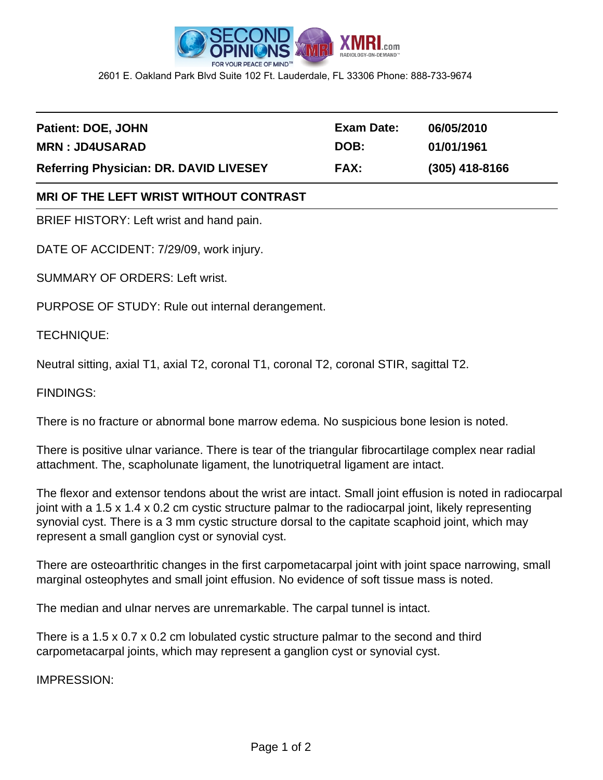

2601 E. Oakland Park Blvd Suite 102 Ft. Lauderdale, FL 33306 Phone: 888-733-9674

| Patient: DOE, JOHN                            | Exam Date:  | 06/05/2010       |
|-----------------------------------------------|-------------|------------------|
| <b>MRN: JD4USARAD</b>                         | DOB:        | 01/01/1961       |
| <b>Referring Physician: DR. DAVID LIVESEY</b> | <b>FAX:</b> | $(305)$ 418-8166 |

## **MRI OF THE LEFT WRIST WITHOUT CONTRAST**

BRIEF HISTORY: Left wrist and hand pain.

DATE OF ACCIDENT: 7/29/09, work injury.

SUMMARY OF ORDERS: Left wrist.

PURPOSE OF STUDY: Rule out internal derangement.

TECHNIQUE:

Neutral sitting, axial T1, axial T2, coronal T1, coronal T2, coronal STIR, sagittal T2.

FINDINGS:

There is no fracture or abnormal bone marrow edema. No suspicious bone lesion is noted.

There is positive ulnar variance. There is tear of the triangular fibrocartilage complex near radial attachment. The, scapholunate ligament, the lunotriquetral ligament are intact.

The flexor and extensor tendons about the wrist are intact. Small joint effusion is noted in radiocarpal joint with a 1.5 x 1.4 x 0.2 cm cystic structure palmar to the radiocarpal joint, likely representing synovial cyst. There is a 3 mm cystic structure dorsal to the capitate scaphoid joint, which may represent a small ganglion cyst or synovial cyst.

There are osteoarthritic changes in the first carpometacarpal joint with joint space narrowing, small marginal osteophytes and small joint effusion. No evidence of soft tissue mass is noted.

The median and ulnar nerves are unremarkable. The carpal tunnel is intact.

There is a 1.5 x 0.7 x 0.2 cm lobulated cystic structure palmar to the second and third carpometacarpal joints, which may represent a ganglion cyst or synovial cyst.

IMPRESSION: